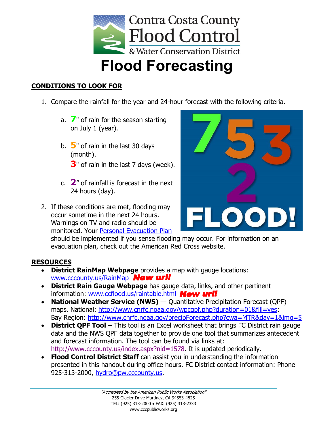

## **CONDITIONS TO LOOK FOR**

- 1. Compare the rainfall for the year and 24-hour forecast with the following criteria.
	- a. **7**" of rain for the season starting on July 1 (year).
	- b. **5**" of rain in the last 30 days (month).

**3**" of rain in the last 7 days (week).

- c. **2**" of rainfall is forecast in the next 24 hours (day).
- 2. If these conditions are met, flooding may occur sometime in the next 24 hours. Warnings on TV and radio should be monitored. Your [Personal Evacuation Plan](http://www.redcross.org/images/MEDIA_CustomProductCatalog/m12140138_Evacuation_Plan.pdf)



should be implemented if you sense flooding may occur. For information on an evacuation plan, check out the American Red Cross website.

## **RESOURCES**

- **District RainMap Webpage** provides a map with gauge locations: [www.cccounty.us/RainMap](http://www.cccounty.us/RainMap) **New urll**
- **District Rain Gauge Webpage** has gauge data, links, and other pertinent information: [www.ccflood.us/raintable.html](http://www.ccflood.us/raintable.html) New urll
- **National Weather Service (NWS)** Quantitative Precipitation Forecast (QPF) maps. National: [http://www.cnrfc.noaa.gov/wpcqpf.php?duration=01&fill=yes:](http://www.cnrfc.noaa.gov/wpcqpf.php?duration=01&fill=yes) Bay Region:<http://www.cnrfc.noaa.gov/precipForecast.php?cwa=MTR&day=1&img=5>
- **District QPF Tool –** This tool is an Excel worksheet that brings FC District rain gauge data and the NWS QPF data together to provide one tool that summarizes antecedent and forecast information. The tool can be found via links at: [http://www.cccounty.us/index.aspx?nid=1578.](http://www.cccounty.us/index.aspx?nid=1578) It is updated periodically.
- **Flood Control District Staff** can assist you in understanding the information presented in this handout during office hours. FC District contact information: Phone 925-313-2000, [hydro@pw.cccounty.us.](mailto:hydro@pw.cccounty.us)